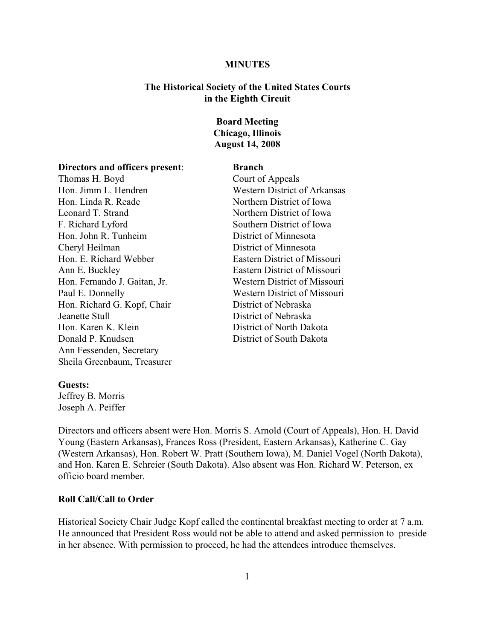#### **MINUTES**

## **The Historical Society of the United States Courts in the Eighth Circuit**

# **Board Meeting Chicago, Illinois August 14, 2008**

#### **Directors and officers present**: **Branch**

Thomas H. Boyd Court of Appeals Hon. Jimm L. Hendren Western District of Arkansas Hon. Linda R. Reade Northern District of Iowa Leonard T. Strand Northern District of Iowa F. Richard Lyford Southern District of Iowa Hon. John R. Tunheim District of Minnesota Cheryl Heilman District of Minnesota Hon. E. Richard Webber Eastern District of Missouri Ann E. Buckley Eastern District of Missouri Hon. Fernando J. Gaitan, Jr. Western District of Missouri Paul E. Donnelly Western District of Missouri Hon. Richard G. Kopf, Chair District of Nebraska Jeanette Stull District of Nebraska Hon. Karen K. Klein District of North Dakota Donald P. Knudsen District of South Dakota Ann Fessenden, Secretary Sheila Greenbaum, Treasurer

### **Guests:**

Jeffrey B. Morris Joseph A. Peiffer

Directors and officers absent were Hon. Morris S. Arnold (Court of Appeals), Hon. H. David Young (Eastern Arkansas), Frances Ross (President, Eastern Arkansas), Katherine C. Gay (Western Arkansas), Hon. Robert W. Pratt (Southern Iowa), M. Daniel Vogel (North Dakota), and Hon. Karen E. Schreier (South Dakota). Also absent was Hon. Richard W. Peterson, ex officio board member.

## **Roll Call/Call to Order**

Historical Society Chair Judge Kopf called the continental breakfast meeting to order at 7 a.m. He announced that President Ross would not be able to attend and asked permission to preside in her absence. With permission to proceed, he had the attendees introduce themselves.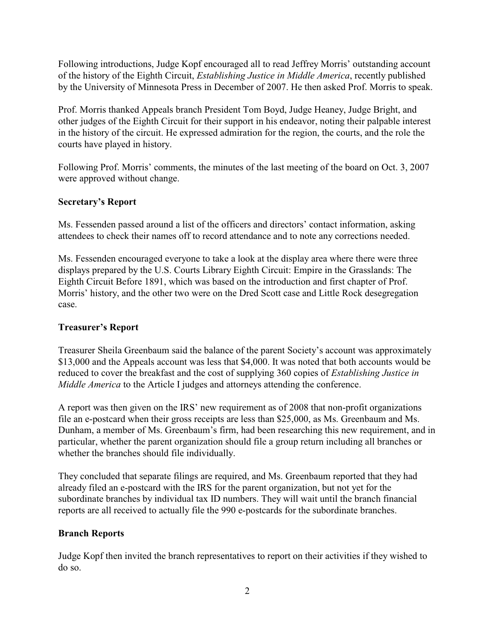Following introductions, Judge Kopf encouraged all to read Jeffrey Morris' outstanding account of the history of the Eighth Circuit, *Establishing Justice in Middle America*, recently published by the University of Minnesota Press in December of 2007. He then asked Prof. Morris to speak.

Prof. Morris thanked Appeals branch President Tom Boyd, Judge Heaney, Judge Bright, and other judges of the Eighth Circuit for their support in his endeavor, noting their palpable interest in the history of the circuit. He expressed admiration for the region, the courts, and the role the courts have played in history.

Following Prof. Morris' comments, the minutes of the last meeting of the board on Oct. 3, 2007 were approved without change.

# **Secretary's Report**

Ms. Fessenden passed around a list of the officers and directors' contact information, asking attendees to check their names off to record attendance and to note any corrections needed.

Ms. Fessenden encouraged everyone to take a look at the display area where there were three displays prepared by the U.S. Courts Library Eighth Circuit: Empire in the Grasslands: The Eighth Circuit Before 1891, which was based on the introduction and first chapter of Prof. Morris' history, and the other two were on the Dred Scott case and Little Rock desegregation case.

# **Treasurer's Report**

Treasurer Sheila Greenbaum said the balance of the parent Society's account was approximately \$13,000 and the Appeals account was less that \$4,000. It was noted that both accounts would be reduced to cover the breakfast and the cost of supplying 360 copies of *Establishing Justice in Middle America* to the Article I judges and attorneys attending the conference.

A report was then given on the IRS' new requirement as of 2008 that non-profit organizations file an e-postcard when their gross receipts are less than \$25,000, as Ms. Greenbaum and Ms. Dunham, a member of Ms. Greenbaum's firm, had been researching this new requirement, and in particular, whether the parent organization should file a group return including all branches or whether the branches should file individually.

They concluded that separate filings are required, and Ms. Greenbaum reported that they had already filed an e-postcard with the IRS for the parent organization, but not yet for the subordinate branches by individual tax ID numbers. They will wait until the branch financial reports are all received to actually file the 990 e-postcards for the subordinate branches.

# **Branch Reports**

Judge Kopf then invited the branch representatives to report on their activities if they wished to do so.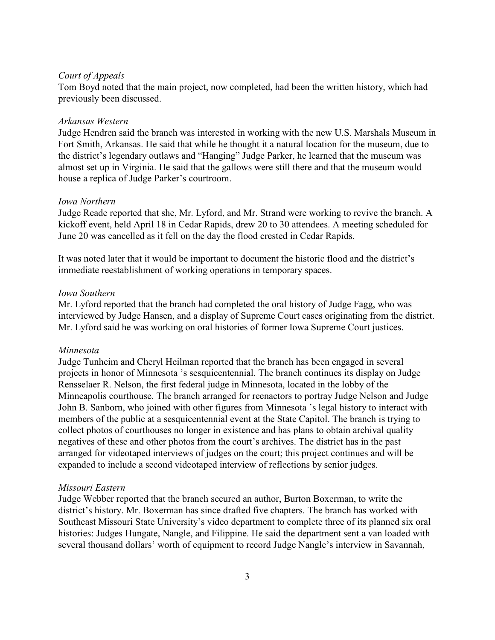### *Court of Appeals*

Tom Boyd noted that the main project, now completed, had been the written history, which had previously been discussed.

### *Arkansas Western*

Judge Hendren said the branch was interested in working with the new U.S. Marshals Museum in Fort Smith, Arkansas. He said that while he thought it a natural location for the museum, due to the district's legendary outlaws and "Hanging" Judge Parker, he learned that the museum was almost set up in Virginia. He said that the gallows were still there and that the museum would house a replica of Judge Parker's courtroom.

### *Iowa Northern*

Judge Reade reported that she, Mr. Lyford, and Mr. Strand were working to revive the branch. A kickoff event, held April 18 in Cedar Rapids, drew 20 to 30 attendees. A meeting scheduled for June 20 was cancelled as it fell on the day the flood crested in Cedar Rapids.

It was noted later that it would be important to document the historic flood and the district's immediate reestablishment of working operations in temporary spaces.

## *Iowa Southern*

Mr. Lyford reported that the branch had completed the oral history of Judge Fagg, who was interviewed by Judge Hansen, and a display of Supreme Court cases originating from the district. Mr. Lyford said he was working on oral histories of former Iowa Supreme Court justices.

#### *Minnesota*

Judge Tunheim and Cheryl Heilman reported that the branch has been engaged in several projects in honor of Minnesota 's sesquicentennial. The branch continues its display on Judge Rensselaer R. Nelson, the first federal judge in Minnesota, located in the lobby of the Minneapolis courthouse. The branch arranged for reenactors to portray Judge Nelson and Judge John B. Sanborn, who joined with other figures from Minnesota 's legal history to interact with members of the public at a sesquicentennial event at the State Capitol. The branch is trying to collect photos of courthouses no longer in existence and has plans to obtain archival quality negatives of these and other photos from the court's archives. The district has in the past arranged for videotaped interviews of judges on the court; this project continues and will be expanded to include a second videotaped interview of reflections by senior judges.

#### *Missouri Eastern*

Judge Webber reported that the branch secured an author, Burton Boxerman, to write the district's history. Mr. Boxerman has since drafted five chapters. The branch has worked with Southeast Missouri State University's video department to complete three of its planned six oral histories: Judges Hungate, Nangle, and Filippine. He said the department sent a van loaded with several thousand dollars' worth of equipment to record Judge Nangle's interview in Savannah,